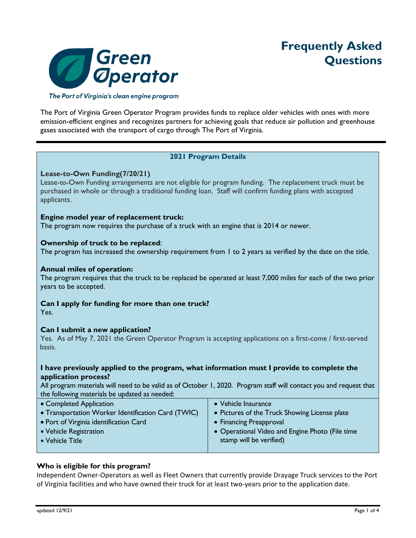

The Port of Virginia's clean engine program

The Port of Virginia Green Operator Program provides funds to replace older vehicles with ones with more emission-efficient engines and recognizes partners for achieving goals that reduce air pollution and greenhouse gases associated with the transport of cargo through The Port of Virginia.

# **2021 Program Details**

# **Lease-to-Own Funding(7/20/21)**

Lease-to-Own Funding arrangements are not eligible for program funding. The replacement truck must be purchased in whole or through a traditional funding loan. Staff will confirm funding plans with accepted applicants.

# **Engine model year of replacement truck:**

The program now requires the purchase of a truck with an engine that is 2014 or newer.

# **Ownership of truck to be replaced**:

The program has increased the ownership requirement from 1 to 2 years as verified by the date on the title.

# **Annual miles of operation:**

The program requires that the truck to be replaced be operated at least 7,000 miles for each of the two prior years to be accepted.

# **Can I apply for funding for more than one truck?**

Yes.

# **Can I submit a new application?**

Yes. As of May 7, 2021 the Green Operator Program is accepting applications on a first-come / first-served basis.

# **I have previously applied to the program, what information must I provide to complete the application process?**

All program materials will need to be valid as of October 1, 2020. Program staff will contact you and request that the following materials be updated as needed:

| • Completed Application                            | • Vehicle Insurance                             |
|----------------------------------------------------|-------------------------------------------------|
| • Transportation Worker Identification Card (TWIC) | • Pictures of the Truck Showing License plate   |
| • Port of Virginia identification Card             | • Financing Preapproval                         |
| • Vehicle Registration                             | • Operational Video and Engine Photo (File time |
| • Vehicle Title                                    | stamp will be verified)                         |
|                                                    |                                                 |

# **Who is eligible for this program?**

Independent Owner‐Operators as well as Fleet Owners that currently provide Drayage Truck services to the Port of Virginia facilities and who have owned their truck for at least two‐years prior to the application date.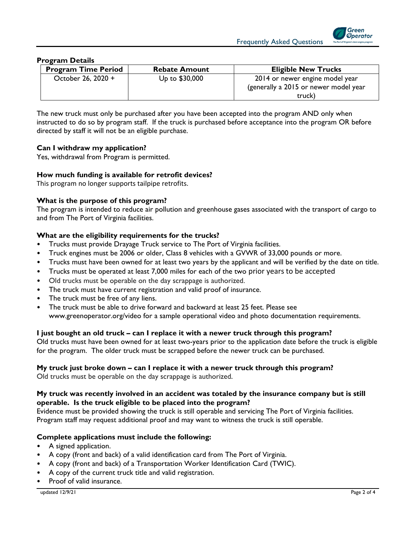

#### **Program Details**

| <b>Program Time Period</b> | <b>Rebate Amount</b> | <b>Eligible New Trucks</b>                                                         |
|----------------------------|----------------------|------------------------------------------------------------------------------------|
| October 26, 2020 +         | Up to \$30,000       | 2014 or newer engine model year<br>(generally a 2015 or newer model year<br>truck) |

The new truck must only be purchased after you have been accepted into the program AND only when instructed to do so by program staff. If the truck is purchased before acceptance into the program OR before directed by staff it will not be an eligible purchase.

# **Can I withdraw my application?**

Yes, withdrawal from Program is permitted.

# **How much funding is available for retrofit devices?**

This program no longer supports tailpipe retrofits.

#### **What is the purpose of this program?**

The program is intended to reduce air pollution and greenhouse gases associated with the transport of cargo to and from The Port of Virginia facilities.

#### **What are the eligibility requirements for the trucks?**

- Trucks must provide Drayage Truck service to The Port of Virginia facilities.
- Truck engines must be 2006 or older, Class 8 vehicles with a GVWR of 33,000 pounds or more.
- Trucks must have been owned for at least two years by the applicant and will be verified by the date on title.
- Trucks must be operated at least 7,000 miles for each of the two prior years to be accepted
- Old trucks must be operable on the day scrappage is authorized.
- The truck must have current registration and valid proof of insurance.
- The truck must be free of any liens.
- The truck must be able to drive forward and backward at least 25 feet. Please see www.greenoperator.org/video for a sample operational video and photo documentation requirements.

#### **I just bought an old truck – can I replace it with a newer truck through this program?**

Old trucks must have been owned for at least two-years prior to the application date before the truck is eligible for the program. The older truck must be scrapped before the newer truck can be purchased.

#### **My truck just broke down – can I replace it with a newer truck through this program?**

Old trucks must be operable on the day scrappage is authorized.

# **My truck was recently involved in an accident was totaled by the insurance company but is still operable. Is the truck eligible to be placed into the program?**

Evidence must be provided showing the truck is still operable and servicing The Port of Virginia facilities. Program staff may request additional proof and may want to witness the truck is still operable.

#### **Complete applications must include the following:**

- A signed application.
- A copy (front and back) of a valid identification card from The Port of Virginia.
- A copy (front and back) of a Transportation Worker Identification Card (TWIC).
- A copy of the current truck title and valid registration.
- Proof of valid insurance.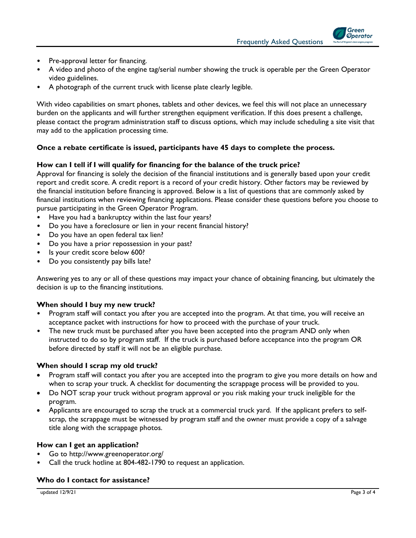Frequently Asked Questions

Green **Operator** 

- Pre-approval letter for financing.
- A video and photo of the engine tag/serial number showing the truck is operable per the Green Operator video guidelines.
- A photograph of the current truck with license plate clearly legible.

With video capabilities on smart phones, tablets and other devices, we feel this will not place an unnecessary burden on the applicants and will further strengthen equipment verification. If this does present a challenge, please contact the program administration staff to discuss options, which may include scheduling a site visit that may add to the application processing time.

# **Once a rebate certificate is issued, participants have 45 days to complete the process.**

# **How can I tell if I will qualify for financing for the balance of the truck price?**

Approval for financing is solely the decision of the financial institutions and is generally based upon your credit report and credit score. A credit report is a record of your credit history. Other factors may be reviewed by the financial institution before financing is approved. Below is a list of questions that are commonly asked by financial institutions when reviewing financing applications. Please consider these questions before you choose to pursue participating in the Green Operator Program.

- Have you had a bankruptcy within the last four years?
- Do you have a foreclosure or lien in your recent financial history?
- Do you have an open federal tax lien?
- Do you have a prior repossession in your past?
- Is your credit score below 600?
- Do you consistently pay bills late?

Answering yes to any or all of these questions may impact your chance of obtaining financing, but ultimately the decision is up to the financing institutions.

# **When should I buy my new truck?**

- Program staff will contact you after you are accepted into the program. At that time, you will receive an acceptance packet with instructions for how to proceed with the purchase of your truck.
- The new truck must be purchased after you have been accepted into the program AND only when instructed to do so by program staff. If the truck is purchased before acceptance into the program OR before directed by staff it will not be an eligible purchase.

# **When should I scrap my old truck?**

- Program staff will contact you after you are accepted into the program to give you more details on how and when to scrap your truck. A checklist for documenting the scrappage process will be provided to you.
- Do NOT scrap your truck without program approval or you risk making your truck ineligible for the program.
- Applicants are encouraged to scrap the truck at a commercial truck yard. If the applicant prefers to selfscrap, the scrappage must be witnessed by program staff and the owner must provide a copy of a salvage title along with the scrappage photos.

# **How can I get an application?**

- Go to http://www.greenoperator.org/
- Call the truck hotline at 804-482-1790 to request an application.

#### **Who do I contact for assistance?**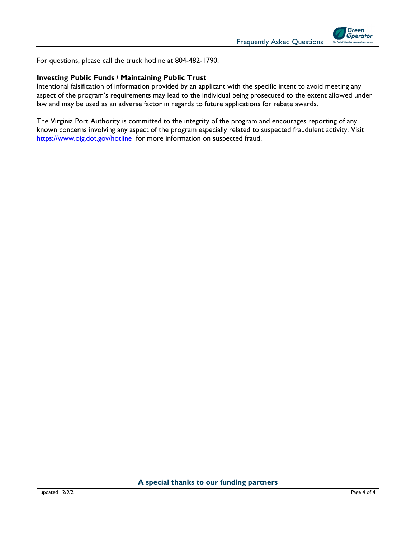



For questions, please call the truck hotline at 804-482-1790.

# **Investing Public Funds / Maintaining Public Trust**

Intentional falsification of information provided by an applicant with the specific intent to avoid meeting any aspect of the program's requirements may lead to the individual being prosecuted to the extent allowed under law and may be used as an adverse factor in regards to future applications for rebate awards.

The Virginia Port Authority is committed to the integrity of the program and encourages reporting of any known concerns involving any aspect of the program especially related to suspected fraudulent activity. Visit https://www.oig.dot.gov/hotline for more information on suspected fraud.